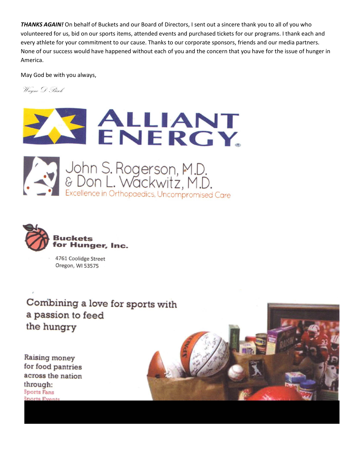*THANKS AGAIN!* On behalf of Buckets and our Board of Directors, I sent out a sincere thank you to all of you who volunteered for us, bid on our sports items, attended events and purchased tickets for our programs. I thank each and every athlete for your commitment to our cause. Thanks to our corporate sponsors, friends and our media partners. None of our success would have happened without each of you and the concern that you have for the issue of hunger in America.

May God be with you always,

Wayne D Bisek







4761 Coolidge Street Oregon, WI 53575

Combining a love for sports with a passion to feed the hungry

Raising money for food pantries across the nation through: **Sports Fans** 

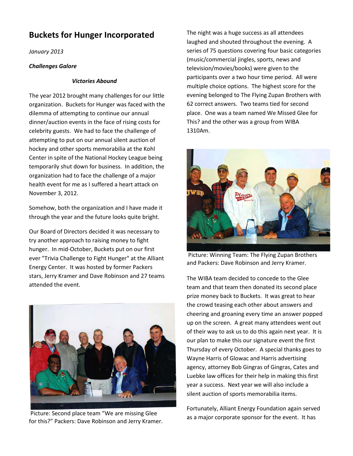## **Buckets for Hunger Incorporated**

*January 2013*

## *Challenges Galore*

## *Victories Abound*

The year 2012 brought many challenges for our little organization. Buckets for Hunger was faced with the dilemma of attempting to continue our annual dinner/auction events in the face of rising costs for celebrity guests. We had to face the challenge of attempting to put on our annual silent auction of hockey and other sports memorabilia at the Kohl Center in spite of the National Hockey League being temporarily shut down for business. In addition, the organization had to face the challenge of a major health event for me as I suffered a heart attack on November 3, 2012.

Somehow, both the organization and I have made it through the year and the future looks quite bright.

Our Board of Directors decided it was necessary to try another approach to raising money to fight hunger. In mid-October, Buckets put on our first ever "Trivia Challenge to Fight Hunger" at the Alliant Energy Center. It was hosted by former Packers stars, Jerry Kramer and Dave Robinson and 27 teams attended the event.



Picture: Second place team "We are missing Glee for this?" Packers: Dave Robinson and Jerry Kramer.

The night was a huge success as all attendees laughed and shouted throughout the evening. A series of 75 questions covering four basic categories (music/commercial jingles, sports, news and television/movies/books) were given to the participants over a two hour time period. All were multiple choice options. The highest score for the evening belonged to The Flying Zupan Brothers with 62 correct answers. Two teams tied for second place. One was a team named We Missed Glee for This? and the other was a group from WIBA 1310Am.



Picture: Winning Team: The Flying Zupan Brothers and Packers: Dave Robinson and Jerry Kramer.

The WIBA team decided to concede to the Glee team and that team then donated its second place prize money back to Buckets. It was great to hear the crowd teasing each other about answers and cheering and groaning every time an answer popped up on the screen. A great many attendees went out of their way to ask us to do this again next year. It is our plan to make this our signature event the first Thursday of every October. A special thanks goes to Wayne Harris of Glowac and Harris advertising agency, attorney Bob Gingras of Gingras, Cates and Luebke law offices for their help in making this first year a success. Next year we will also include a silent auction of sports memorabilia items.

Fortunately, Alliant Energy Foundation again served as a major corporate sponsor for the event. It has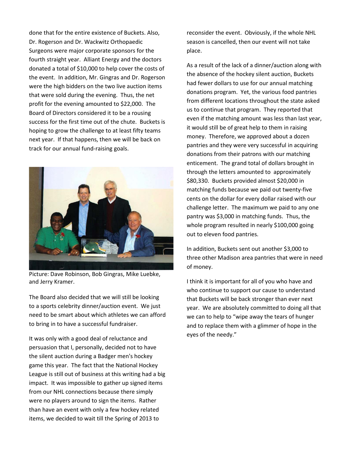done that for the entire existence of Buckets. Also, Dr. Rogerson and Dr. Wackwitz Orthopaedic Surgeons were major corporate sponsors for the fourth straight year. Alliant Energy and the doctors donated a total of \$10,000 to help cover the costs of the event. In addition, Mr. Gingras and Dr. Rogerson were the high bidders on the two live auction items that were sold during the evening. Thus, the net profit for the evening amounted to \$22,000. The Board of Directors considered it to be a rousing success for the first time out of the chute. Buckets is hoping to grow the challenge to at least fifty teams next year. If that happens, then we will be back on track for our annual fund-raising goals.



Picture: Dave Robinson, Bob Gingras, Mike Luebke, and Jerry Kramer.

The Board also decided that we will still be looking to a sports celebrity dinner/auction event. We just need to be smart about which athletes we can afford to bring in to have a successful fundraiser.

It was only with a good deal of reluctance and persuasion that I, personally, decided not to have the silent auction during a Badger men's hockey game this year. The fact that the National Hockey League is still out of business at this writing had a big impact. It was impossible to gather up signed items from our NHL connections because there simply were no players around to sign the items. Rather than have an event with only a few hockey related items, we decided to wait till the Spring of 2013 to

reconsider the event. Obviously, if the whole NHL season is cancelled, then our event will not take place.

As a result of the lack of a dinner/auction along with the absence of the hockey silent auction, Buckets had fewer dollars to use for our annual matching donations program. Yet, the various food pantries from different locations throughout the state asked us to continue that program. They reported that even if the matching amount was less than last year, it would still be of great help to them in raising money. Therefore, we approved about a dozen pantries and they were very successful in acquiring donations from their patrons with our matching enticement. The grand total of dollars brought in through the letters amounted to approximately \$80,330. Buckets provided almost \$20,000 in matching funds because we paid out twenty-five cents on the dollar for every dollar raised with our challenge letter. The maximum we paid to any one pantry was \$3,000 in matching funds. Thus, the whole program resulted in nearly \$100,000 going out to eleven food pantries.

In addition, Buckets sent out another \$3,000 to three other Madison area pantries that were in need of money.

I think it is important for all of you who have and who continue to support our cause to understand that Buckets will be back stronger than ever next year. We are absolutely committed to doing all that we can to help to "wipe away the tears of hunger and to replace them with a glimmer of hope in the eyes of the needy."